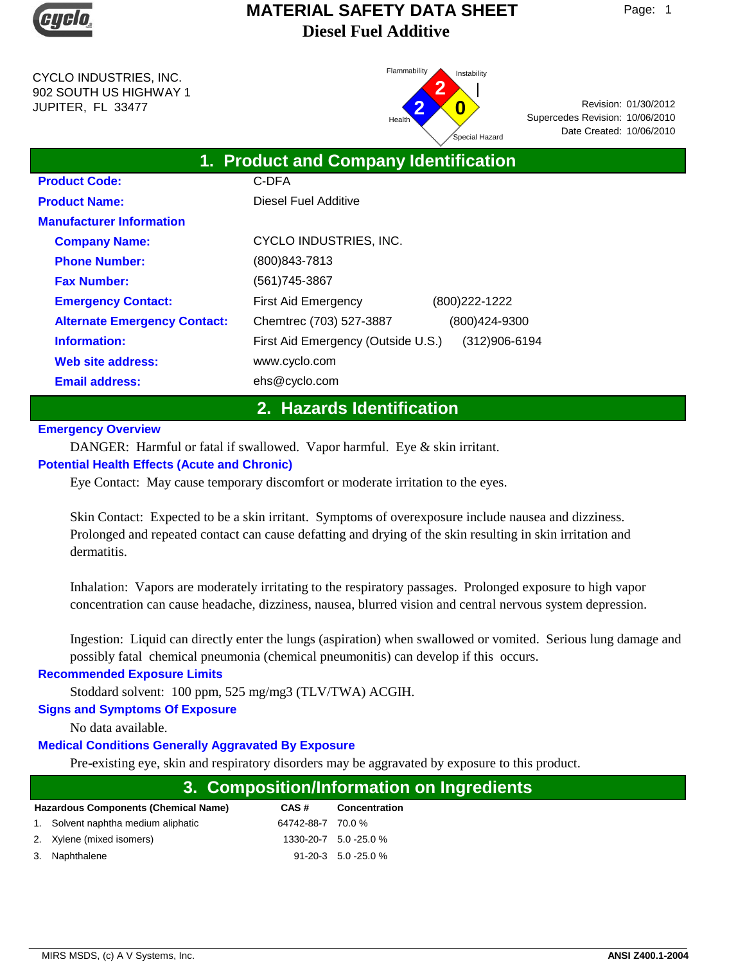

CYCLO INDUSTRIES, INC. 902 SOUTH US HIGHWAY 1 JUPITER, FL 33477



Date Created: 10/06/2010 01/30/2012 Revision: Supercedes Revision: 10/06/2010

| 1. Product and Company Identification |                                    |                |  |  |  |  |
|---------------------------------------|------------------------------------|----------------|--|--|--|--|
| <b>Product Code:</b>                  | C-DFA                              |                |  |  |  |  |
| <b>Product Name:</b>                  | Diesel Fuel Additive               |                |  |  |  |  |
| <b>Manufacturer Information</b>       |                                    |                |  |  |  |  |
| <b>Company Name:</b>                  | CYCLO INDUSTRIES, INC.             |                |  |  |  |  |
| <b>Phone Number:</b>                  | (800) 843-7813                     |                |  |  |  |  |
| <b>Fax Number:</b>                    | (561) 745-3867                     |                |  |  |  |  |
| <b>Emergency Contact:</b>             | <b>First Aid Emergency</b>         | (800) 222-1222 |  |  |  |  |
| <b>Alternate Emergency Contact:</b>   | Chemtrec (703) 527-3887            | (800)424-9300  |  |  |  |  |
| Information:                          | First Aid Emergency (Outside U.S.) | (312)906-6194  |  |  |  |  |
| Web site address:                     | www.cyclo.com                      |                |  |  |  |  |
| <b>Email address:</b>                 | ehs@cyclo.com                      |                |  |  |  |  |

# **2. Hazards Identification**

#### **Emergency Overview**

DANGER: Harmful or fatal if swallowed. Vapor harmful. Eye & skin irritant.

#### **Potential Health Effects (Acute and Chronic)**

Eye Contact: May cause temporary discomfort or moderate irritation to the eyes.

Skin Contact: Expected to be a skin irritant. Symptoms of overexposure include nausea and dizziness. Prolonged and repeated contact can cause defatting and drying of the skin resulting in skin irritation and dermatitis.

Inhalation: Vapors are moderately irritating to the respiratory passages. Prolonged exposure to high vapor concentration can cause headache, dizziness, nausea, blurred vision and central nervous system depression.

Ingestion: Liquid can directly enter the lungs (aspiration) when swallowed or vomited. Serious lung damage and possibly fatal chemical pneumonia (chemical pneumonitis) can develop if this occurs.

#### **Recommended Exposure Limits**

Stoddard solvent: 100 ppm, 525 mg/mg3 (TLV/TWA) ACGIH.

## **Signs and Symptoms Of Exposure**

No data available.

## **Medical Conditions Generally Aggravated By Exposure**

Pre-existing eye, skin and respiratory disorders may be aggravated by exposure to this product.

|                                             |                   | 3. Composition/Information on Ingredients |
|---------------------------------------------|-------------------|-------------------------------------------|
| <b>Hazardous Components (Chemical Name)</b> | CAS#              | <b>Concentration</b>                      |
| 1. Solvent naphtha medium aliphatic         | 64742-88-7 70.0 % |                                           |
| 2. Xylene (mixed isomers)                   |                   | 1330-20-7 5.0 -25.0 %                     |
| 3. Naphthalene                              |                   | $91 - 20 - 3$ 5.0 - 25.0 %                |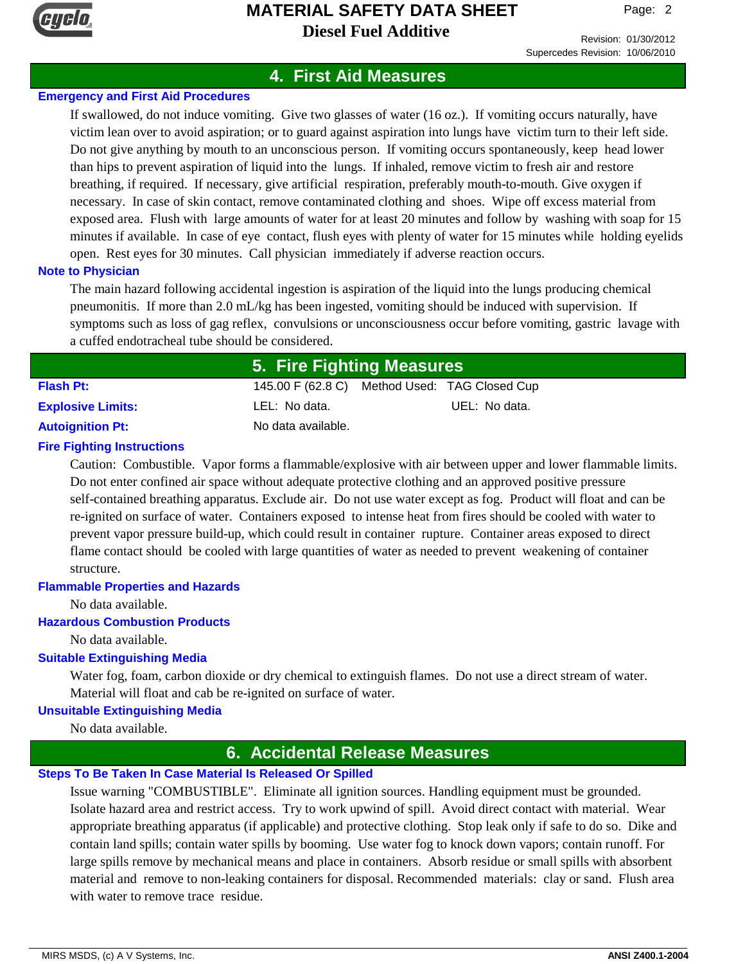

Revision: 01/30/2012 Supercedes Revision: 10/06/2010

# **4. First Aid Measures**

## **Emergency and First Aid Procedures**

If swallowed, do not induce vomiting. Give two glasses of water (16 oz.). If vomiting occurs naturally, have victim lean over to avoid aspiration; or to guard against aspiration into lungs have victim turn to their left side. Do not give anything by mouth to an unconscious person. If vomiting occurs spontaneously, keep head lower than hips to prevent aspiration of liquid into the lungs. If inhaled, remove victim to fresh air and restore breathing, if required. If necessary, give artificial respiration, preferably mouth-to-mouth. Give oxygen if necessary. In case of skin contact, remove contaminated clothing and shoes. Wipe off excess material from exposed area. Flush with large amounts of water for at least 20 minutes and follow by washing with soap for 15 minutes if available. In case of eye contact, flush eyes with plenty of water for 15 minutes while holding eyelids open. Rest eyes for 30 minutes. Call physician immediately if adverse reaction occurs.

#### **Note to Physician**

The main hazard following accidental ingestion is aspiration of the liquid into the lungs producing chemical pneumonitis. If more than 2.0 mL/kg has been ingested, vomiting should be induced with supervision. If symptoms such as loss of gag reflex, convulsions or unconsciousness occur before vomiting, gastric lavage with a cuffed endotracheal tube should be considered.

|                          | 5. Fire Fighting Measures                     |               |  |  |
|--------------------------|-----------------------------------------------|---------------|--|--|
| <b>Flash Pt:</b>         | 145.00 F (62.8 C) Method Used: TAG Closed Cup |               |  |  |
| <b>Explosive Limits:</b> | LEL: No data.                                 | UEL: No data. |  |  |
| <b>Autoignition Pt:</b>  | No data available.                            |               |  |  |

### **Fire Fighting Instructions**

Caution: Combustible. Vapor forms a flammable/explosive with air between upper and lower flammable limits. Do not enter confined air space without adequate protective clothing and an approved positive pressure self-contained breathing apparatus. Exclude air. Do not use water except as fog. Product will float and can be re-ignited on surface of water. Containers exposed to intense heat from fires should be cooled with water to prevent vapor pressure build-up, which could result in container rupture. Container areas exposed to direct flame contact should be cooled with large quantities of water as needed to prevent weakening of container structure.

#### **Flammable Properties and Hazards**

No data available.

#### **Hazardous Combustion Products**

No data available.

#### **Suitable Extinguishing Media**

Water fog, foam, carbon dioxide or dry chemical to extinguish flames. Do not use a direct stream of water. Material will float and cab be re-ignited on surface of water.

#### **Unsuitable Extinguishing Media**

No data available.

# **6. Accidental Release Measures**

#### **Steps To Be Taken In Case Material Is Released Or Spilled**

Issue warning "COMBUSTIBLE". Eliminate all ignition sources. Handling equipment must be grounded. Isolate hazard area and restrict access. Try to work upwind of spill. Avoid direct contact with material. Wear appropriate breathing apparatus (if applicable) and protective clothing. Stop leak only if safe to do so. Dike and contain land spills; contain water spills by booming. Use water fog to knock down vapors; contain runoff. For large spills remove by mechanical means and place in containers. Absorb residue or small spills with absorbent material and remove to non-leaking containers for disposal. Recommended materials: clay or sand. Flush area with water to remove trace residue.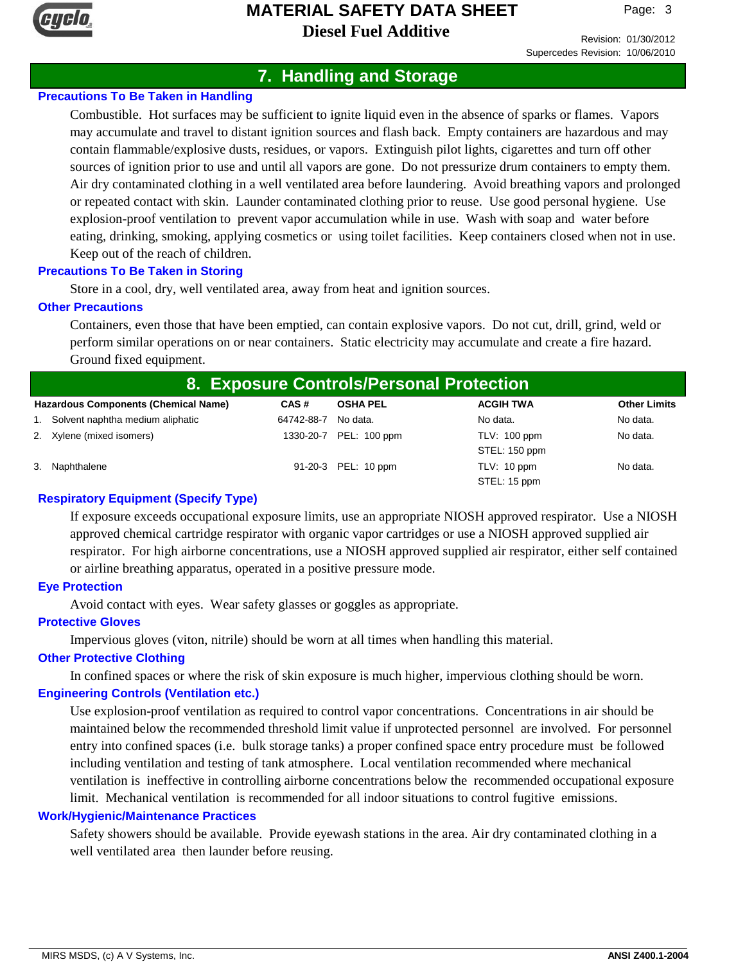

Page: 3

# **7. Handling and Storage**

## **Precautions To Be Taken in Handling**

Combustible. Hot surfaces may be sufficient to ignite liquid even in the absence of sparks or flames. Vapors may accumulate and travel to distant ignition sources and flash back. Empty containers are hazardous and may contain flammable/explosive dusts, residues, or vapors. Extinguish pilot lights, cigarettes and turn off other sources of ignition prior to use and until all vapors are gone. Do not pressurize drum containers to empty them. Air dry contaminated clothing in a well ventilated area before laundering. Avoid breathing vapors and prolonged or repeated contact with skin. Launder contaminated clothing prior to reuse. Use good personal hygiene. Use explosion-proof ventilation to prevent vapor accumulation while in use. Wash with soap and water before eating, drinking, smoking, applying cosmetics or using toilet facilities. Keep containers closed when not in use. Keep out of the reach of children.

#### **Precautions To Be Taken in Storing**

Store in a cool, dry, well ventilated area, away from heat and ignition sources.

#### **Other Precautions**

Containers, even those that have been emptied, can contain explosive vapors. Do not cut, drill, grind, weld or perform similar operations on or near containers. Static electricity may accumulate and create a fire hazard. Ground fixed equipment.

| 8. Exposure Controls/Personal Protection    |            |                        |                             |                     |  |  |
|---------------------------------------------|------------|------------------------|-----------------------------|---------------------|--|--|
| <b>Hazardous Components (Chemical Name)</b> | CAS#       | <b>OSHA PEL</b>        | <b>ACGIH TWA</b>            | <b>Other Limits</b> |  |  |
| 1. Solvent naphtha medium aliphatic         | 64742-88-7 | No data.               | No data.                    | No data.            |  |  |
| 2. Xylene (mixed isomers)                   |            | 1330-20-7 PEL: 100 ppm | TLV: 100 ppm                | No data.            |  |  |
|                                             |            |                        | STEL: 150 ppm               |                     |  |  |
| 3. Naphthalene                              |            | 91-20-3 PEL: 10 ppm    | TLV: 10 ppm<br>STEL: 15 ppm | No data.            |  |  |

### **Respiratory Equipment (Specify Type)**

If exposure exceeds occupational exposure limits, use an appropriate NIOSH approved respirator. Use a NIOSH approved chemical cartridge respirator with organic vapor cartridges or use a NIOSH approved supplied air respirator. For high airborne concentrations, use a NIOSH approved supplied air respirator, either self contained or airline breathing apparatus, operated in a positive pressure mode.

#### **Eye Protection**

Avoid contact with eyes. Wear safety glasses or goggles as appropriate.

### **Protective Gloves**

Impervious gloves (viton, nitrile) should be worn at all times when handling this material.

#### **Other Protective Clothing**

In confined spaces or where the risk of skin exposure is much higher, impervious clothing should be worn. **Engineering Controls (Ventilation etc.)**

Use explosion-proof ventilation as required to control vapor concentrations. Concentrations in air should be maintained below the recommended threshold limit value if unprotected personnel are involved. For personnel entry into confined spaces (i.e. bulk storage tanks) a proper confined space entry procedure must be followed including ventilation and testing of tank atmosphere. Local ventilation recommended where mechanical ventilation is ineffective in controlling airborne concentrations below the recommended occupational exposure limit. Mechanical ventilation is recommended for all indoor situations to control fugitive emissions.

#### **Work/Hygienic/Maintenance Practices**

Safety showers should be available. Provide eyewash stations in the area. Air dry contaminated clothing in a well ventilated area then launder before reusing.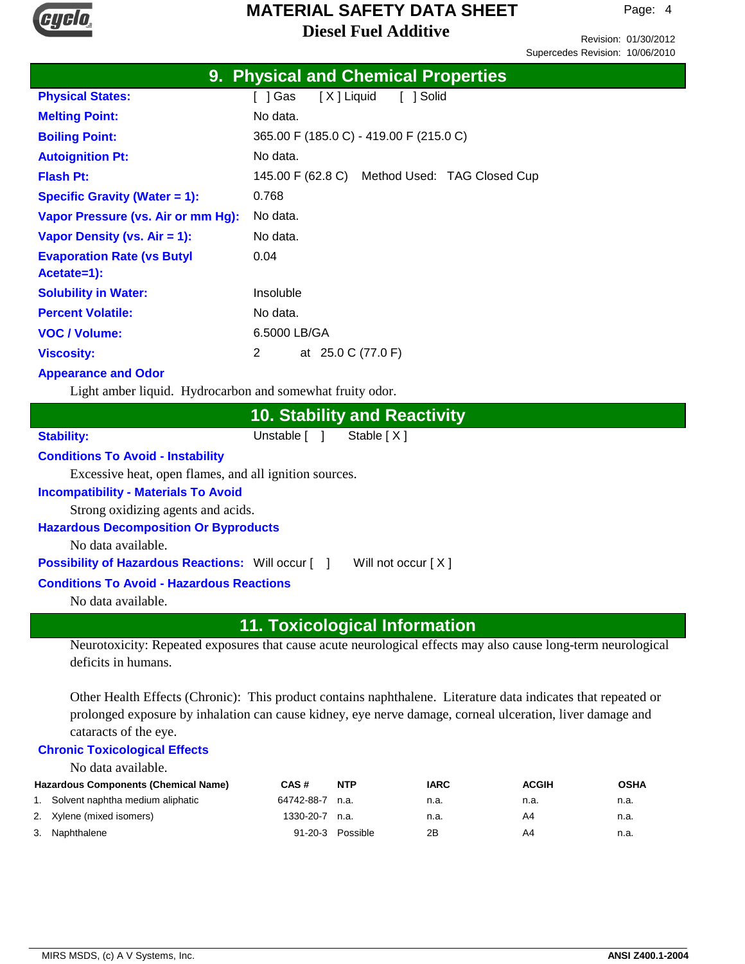

Revision: 01/30/2012 Supercedes Revision: 10/06/2010

|                                    | <b>9. Physical and Chemical Properties</b>    |  |  |  |
|------------------------------------|-----------------------------------------------|--|--|--|
| <b>Physical States:</b>            | 「 ]Gas<br>[X] Liquid<br>[ ] Solid             |  |  |  |
| <b>Melting Point:</b>              | No data.                                      |  |  |  |
| <b>Boiling Point:</b>              | 365.00 F (185.0 C) - 419.00 F (215.0 C)       |  |  |  |
| <b>Autoignition Pt:</b>            | No data.                                      |  |  |  |
| <b>Flash Pt:</b>                   | 145.00 F (62.8 C) Method Used: TAG Closed Cup |  |  |  |
| Specific Gravity (Water $= 1$ ):   | 0.768                                         |  |  |  |
| Vapor Pressure (vs. Air or mm Hg): | No data.                                      |  |  |  |
| Vapor Density (vs. Air = 1):       | No data.                                      |  |  |  |
| <b>Evaporation Rate (vs Butyl</b>  | 0.04                                          |  |  |  |
| Acetate=1):                        |                                               |  |  |  |
| <b>Solubility in Water:</b>        | Insoluble                                     |  |  |  |
| <b>Percent Volatile:</b>           | No data.                                      |  |  |  |
| <b>VOC</b> / Volume:               | 6.5000 LB/GA                                  |  |  |  |
| <b>Viscosity:</b>                  | 2<br>at 25.0 C (77.0 F)                       |  |  |  |

## **Appearance and Odor**

Light amber liquid. Hydrocarbon and somewhat fruity odor.

## **10. Stability and Reactivity**

Stability: Unstable [ ] Stable [ X ]

#### **Conditions To Avoid - Instability**

Excessive heat, open flames, and all ignition sources.

#### **Incompatibility - Materials To Avoid**

Strong oxidizing agents and acids.

#### **Hazardous Decomposition Or Byproducts**

No data available.

**Possibility of Hazardous Reactions:** Will occur [ ] Will not occur [ X ]

#### **Conditions To Avoid - Hazardous Reactions**

No data available.

## **11. Toxicological Information**

Neurotoxicity: Repeated exposures that cause acute neurological effects may also cause long-term neurological deficits in humans.

Other Health Effects (Chronic): This product contains naphthalene. Literature data indicates that repeated or prolonged exposure by inhalation can cause kidney, eye nerve damage, corneal ulceration, liver damage and cataracts of the eye.

#### **Chronic Toxicological Effects**

No data available.

| <b>Hazardous Components (Chemical Name)</b> | CAS#             | <b>NTP</b>       | <b>IARC</b> | <b>ACGIH</b> | <b>OSHA</b> |
|---------------------------------------------|------------------|------------------|-------------|--------------|-------------|
| 1. Solvent naphtha medium aliphatic         | 64742-88-7 n.a.  |                  | n.a.        | n.a.         | n.a.        |
| 2. Xylene (mixed isomers)                   | $1330-20-7$ n.a. |                  | n.a.        | A4           | n.a.        |
| 3. Naphthalene                              |                  | 91-20-3 Possible | 2B          | A4           | n.a.        |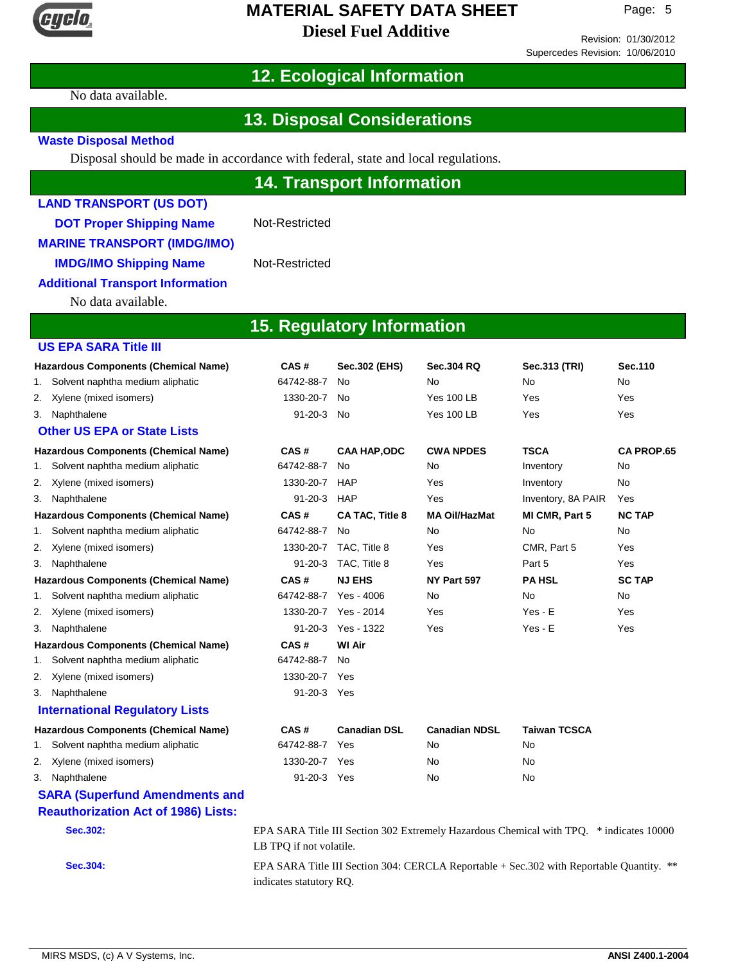

Revision: 01/30/2012 Supercedes Revision: 10/06/2010

# **12. Ecological Information**

No data available.

# **13. Disposal Considerations**

#### **Waste Disposal Method**

Disposal should be made in accordance with federal, state and local regulations.

| <b>14. Transport Information</b>            |                         |                                   |                      |                                                                                           |                   |  |
|---------------------------------------------|-------------------------|-----------------------------------|----------------------|-------------------------------------------------------------------------------------------|-------------------|--|
| <b>LAND TRANSPORT (US DOT)</b>              |                         |                                   |                      |                                                                                           |                   |  |
| <b>DOT Proper Shipping Name</b>             | Not-Restricted          |                                   |                      |                                                                                           |                   |  |
| <b>MARINE TRANSPORT (IMDG/IMO)</b>          |                         |                                   |                      |                                                                                           |                   |  |
|                                             | Not-Restricted          |                                   |                      |                                                                                           |                   |  |
| <b>IMDG/IMO Shipping Name</b>               |                         |                                   |                      |                                                                                           |                   |  |
| <b>Additional Transport Information</b>     |                         |                                   |                      |                                                                                           |                   |  |
| No data available.                          |                         |                                   |                      |                                                                                           |                   |  |
|                                             |                         | <b>15. Regulatory Information</b> |                      |                                                                                           |                   |  |
| <b>US EPA SARA Title III</b>                |                         |                                   |                      |                                                                                           |                   |  |
| <b>Hazardous Components (Chemical Name)</b> | CAS#                    | Sec.302 (EHS)                     | <b>Sec.304 RQ</b>    | Sec.313 (TRI)                                                                             | Sec.110           |  |
| Solvent naphtha medium aliphatic<br>1.      | 64742-88-7              | No                                | No                   | <b>No</b>                                                                                 | <b>No</b>         |  |
| Xylene (mixed isomers)<br>2.                | 1330-20-7               | No                                | <b>Yes 100 LB</b>    | Yes                                                                                       | Yes               |  |
| Naphthalene<br>3.                           | 91-20-3 No              |                                   | <b>Yes 100 LB</b>    | Yes                                                                                       | Yes               |  |
| <b>Other US EPA or State Lists</b>          |                         |                                   |                      |                                                                                           |                   |  |
| <b>Hazardous Components (Chemical Name)</b> | CAS#                    | <b>CAA HAP,ODC</b>                | <b>CWA NPDES</b>     | <b>TSCA</b>                                                                               | <b>CA PROP.65</b> |  |
| Solvent naphtha medium aliphatic<br>1.      | 64742-88-7              | No                                | No                   | Inventory                                                                                 | <b>No</b>         |  |
| Xylene (mixed isomers)<br>2.                | 1330-20-7               | HAP                               | Yes                  | Inventory                                                                                 | No.               |  |
| Naphthalene<br>3.                           | $91 - 20 - 3$           | HAP                               | Yes                  | Inventory, 8A PAIR                                                                        | Yes               |  |
| <b>Hazardous Components (Chemical Name)</b> | CAS#                    | <b>CA TAC, Title 8</b>            | <b>MA Oil/HazMat</b> | MI CMR, Part 5                                                                            | <b>NC TAP</b>     |  |
| Solvent naphtha medium aliphatic<br>1.      | 64742-88-7              | No                                | No                   | No                                                                                        | No.               |  |
| Xylene (mixed isomers)<br>2.                |                         | 1330-20-7 TAC, Title 8            | Yes                  | CMR, Part 5                                                                               | Yes               |  |
| Naphthalene<br>3.                           | $91 - 20 - 3$           | TAC, Title 8                      | Yes                  | Part 5                                                                                    | Yes               |  |
| <b>Hazardous Components (Chemical Name)</b> | CAS#                    | <b>NJ EHS</b>                     | NY Part 597          | <b>PA HSL</b>                                                                             | <b>SC TAP</b>     |  |
| Solvent naphtha medium aliphatic<br>1.      | 64742-88-7              | Yes - 4006                        | No                   | No                                                                                        | No.               |  |
| Xylene (mixed isomers)<br>2.                |                         | 1330-20-7 Yes - 2014              | Yes                  | $Yes - E$                                                                                 | Yes               |  |
| Naphthalene<br>3.                           | $91 - 20 - 3$           | Yes - 1322                        | Yes                  | $Yes - E$                                                                                 | Yes               |  |
| <b>Hazardous Components (Chemical Name)</b> | CAS#                    | <b>WI Air</b>                     |                      |                                                                                           |                   |  |
| Solvent naphtha medium aliphatic<br>1.      | 64742-88-7              | No                                |                      |                                                                                           |                   |  |
| Xylene (mixed isomers)<br>2.                | 1330-20-7 Yes           |                                   |                      |                                                                                           |                   |  |
| Naphthalene<br>3.                           | $91 - 20 - 3$           | Yes                               |                      |                                                                                           |                   |  |
| <b>International Regulatory Lists</b>       |                         |                                   |                      |                                                                                           |                   |  |
| <b>Hazardous Components (Chemical Name)</b> | CAS#                    | <b>Canadian DSL</b>               | <b>Canadian NDSL</b> | <b>Taiwan TCSCA</b>                                                                       |                   |  |
| Solvent naphtha medium aliphatic<br>1.      | 64742-88-7              | Yes                               | No                   | No                                                                                        |                   |  |
| Xylene (mixed isomers)<br>2.                | 1330-20-7 Yes           |                                   | No                   | No                                                                                        |                   |  |
| Naphthalene<br>3.                           | 91-20-3 Yes             |                                   | No                   | No                                                                                        |                   |  |
| <b>SARA (Superfund Amendments and</b>       |                         |                                   |                      |                                                                                           |                   |  |
| <b>Reauthorization Act of 1986) Lists:</b>  |                         |                                   |                      |                                                                                           |                   |  |
| <b>Sec.302:</b>                             | LB TPQ if not volatile. |                                   |                      | EPA SARA Title III Section 302 Extremely Hazardous Chemical with TPQ. * indicates 10000   |                   |  |
| Sec.304:                                    |                         |                                   |                      | EPA SARA Title III Section 304: CERCLA Reportable + Sec. 302 with Reportable Quantity. ** |                   |  |
|                                             | indicates statutory RQ. |                                   |                      |                                                                                           |                   |  |